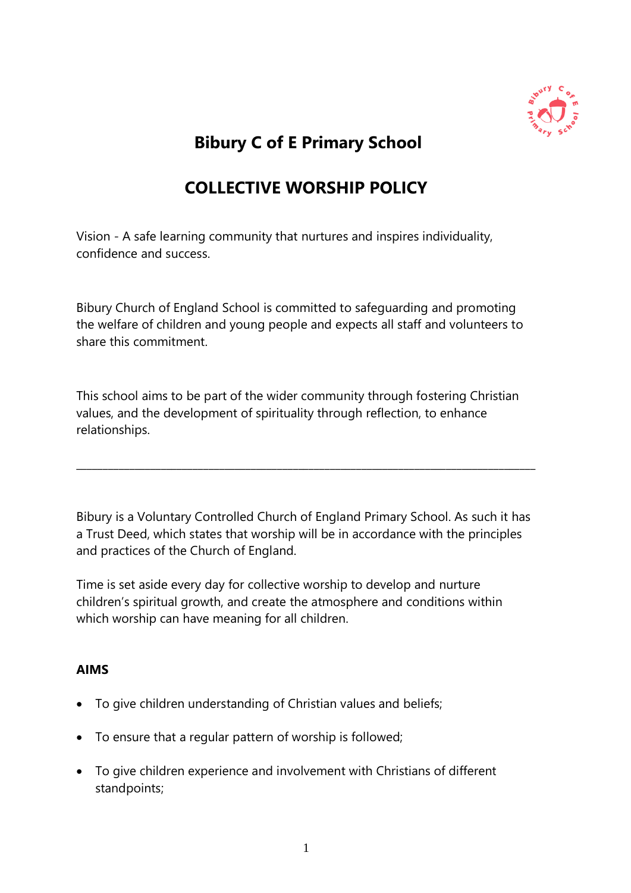

# **Bibury C of E Primary School**

# **COLLECTIVE WORSHIP POLICY**

Vision - A safe learning community that nurtures and inspires individuality, confidence and success.

Bibury Church of England School is committed to safeguarding and promoting the welfare of children and young people and expects all staff and volunteers to share this commitment.

This school aims to be part of the wider community through fostering Christian values, and the development of spirituality through reflection, to enhance relationships.

Bibury is a Voluntary Controlled Church of England Primary School. As such it has a Trust Deed, which states that worship will be in accordance with the principles and practices of the Church of England.

\_\_\_\_\_\_\_\_\_\_\_\_\_\_\_\_\_\_\_\_\_\_\_\_\_\_\_\_\_\_\_\_\_\_\_\_\_\_\_\_\_\_\_\_\_\_\_\_\_\_\_\_\_\_\_\_\_\_\_\_\_\_\_\_\_\_\_\_\_\_\_\_\_\_\_\_\_\_\_\_\_\_\_\_\_\_\_

Time is set aside every day for collective worship to develop and nurture children's spiritual growth, and create the atmosphere and conditions within which worship can have meaning for all children.

## **AIMS**

- To give children understanding of Christian values and beliefs;
- To ensure that a regular pattern of worship is followed;
- To give children experience and involvement with Christians of different standpoints;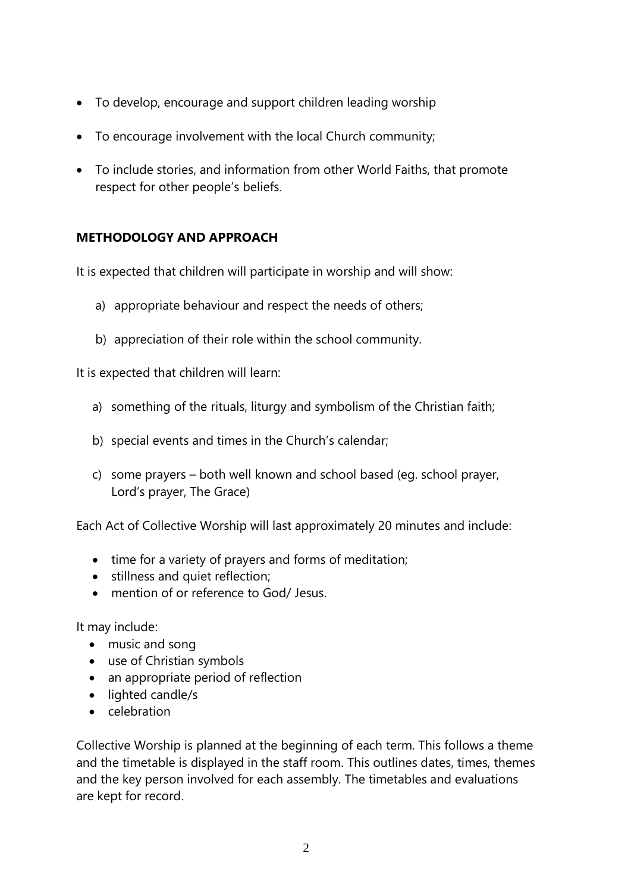- To develop, encourage and support children leading worship
- To encourage involvement with the local Church community;
- To include stories, and information from other World Faiths, that promote respect for other people's beliefs.

# **METHODOLOGY AND APPROACH**

It is expected that children will participate in worship and will show:

- a) appropriate behaviour and respect the needs of others;
- b) appreciation of their role within the school community.

It is expected that children will learn:

- a) something of the rituals, liturgy and symbolism of the Christian faith;
- b) special events and times in the Church's calendar;
- c) some prayers both well known and school based (eg. school prayer, Lord's prayer, The Grace)

Each Act of Collective Worship will last approximately 20 minutes and include:

- time for a variety of prayers and forms of meditation;
- stillness and quiet reflection;
- mention of or reference to God/ Jesus.

It may include:

- music and song
- use of Christian symbols
- an appropriate period of reflection
- lighted candle/s
- celebration

Collective Worship is planned at the beginning of each term. This follows a theme and the timetable is displayed in the staff room. This outlines dates, times, themes and the key person involved for each assembly. The timetables and evaluations are kept for record.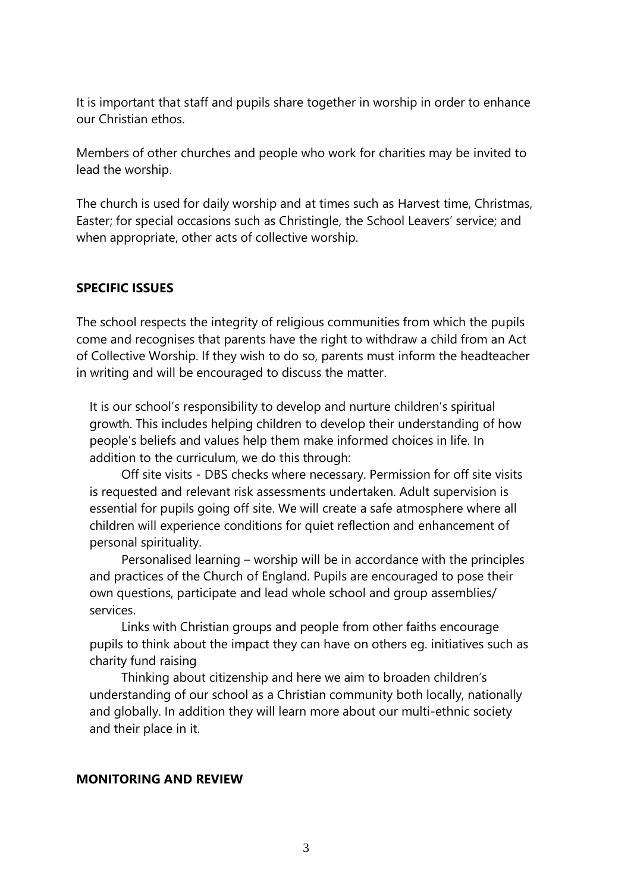It is important that staff and pupils share together in worship in order to enhance our Christian ethos.

Members of other churches and people who work for charities may be invited to lead the worship.

The church is used for daily worship and at times such as Harvest time, Christmas, Easter; for special occasions such as Christingle, the School Leavers' service; and when appropriate, other acts of collective worship.

## **SPECIFIC ISSUES**

The school respects the integrity of religious communities from which the pupils come and recognises that parents have the right to withdraw a child from an Act of Collective Worship. If they wish to do so, parents must inform the headteacher in writing and will be encouraged to discuss the matter.

It is our school's responsibility to develop and nurture children's spiritual growth. This includes helping children to develop their understanding of how people's beliefs and values help them make informed choices in life. In addition to the curriculum, we do this through:

 Off site visits - DBS checks where necessary. Permission for off site visits is requested and relevant risk assessments undertaken. Adult supervision is essential for pupils going off site. We will create a safe atmosphere where all children will experience conditions for quiet reflection and enhancement of personal spirituality.

 Personalised learning – worship will be in accordance with the principles and practices of the Church of England. Pupils are encouraged to pose their own questions, participate and lead whole school and group assemblies/ services.

 Links with Christian groups and people from other faiths encourage pupils to think about the impact they can have on others eg. initiatives such as charity fund raising

 Thinking about citizenship and here we aim to broaden children's understanding of our school as a Christian community both locally, nationally and globally. In addition they will learn more about our multi-ethnic society and their place in it.

## **MONITORING AND REVIEW**